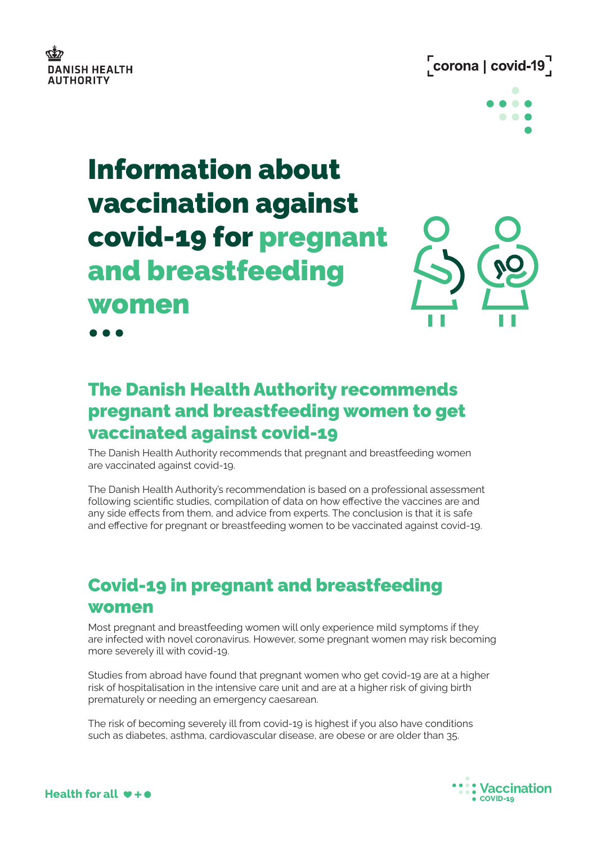



# Information about vaccination against covid-19 for pregnant and breastfeeding women



. . .

## The Danish Health Authority recommends pregnant and breastfeeding women to get vaccinated against covid-19

The Danish Health Authority recommends that pregnant and breastfeeding women are vaccinated against covid-19.

The Danish Health Authority's recommendation is based on a professional assessment following scientific studies, compilation of data on how effective the vaccines are and any side effects from them, and advice from experts. The conclusion is that it is safe and effective for pregnant or breastfeeding women to be vaccinated against covid-19.

## Covid-19 in pregnant and breastfeeding women

Most pregnant and breastfeeding women will only experience mild symptoms if they are infected with novel coronavirus. However, some pregnant women may risk becoming more severely ill with covid-19.

Studies from abroad have found that pregnant women who get covid-19 are at a higher risk of hospitalisation in the intensive care unit and are at a higher risk of giving birth prematurely or needing an emergency caesarean.

The risk of becoming severely ill from covid-19 is highest if you also have conditions such as diabetes, asthma, cardiovascular disease, are obese or are older than 35.



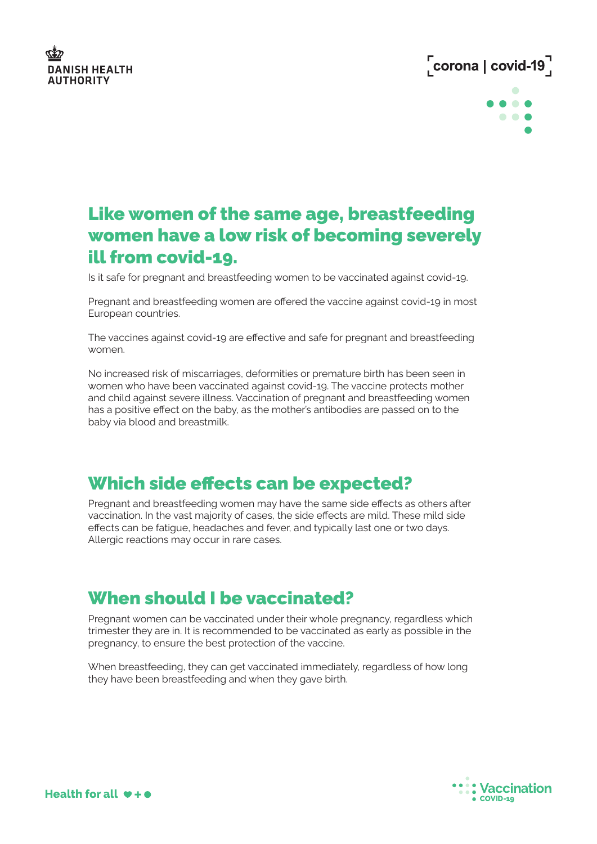

## $\sqrt{\frac{1}{1}}$ corona | covid-19 $\sqrt{\frac{1}{1}}$



### Like women of the same age, breastfeeding women have a low risk of becoming severely ill from covid-19.

Is it safe for pregnant and breastfeeding women to be vaccinated against covid-19.

Pregnant and breastfeeding women are offered the vaccine against covid-19 in most European countries.

The vaccines against covid-19 are effective and safe for pregnant and breastfeeding women.

No increased risk of miscarriages, deformities or premature birth has been seen in women who have been vaccinated against covid-19. The vaccine protects mother and child against severe illness. Vaccination of pregnant and breastfeeding women has a positive effect on the baby, as the mother's antibodies are passed on to the baby via blood and breastmilk.

#### Which side effects can be expected?

Pregnant and breastfeeding women may have the same side effects as others after vaccination. In the vast majority of cases, the side effects are mild. These mild side effects can be fatigue, headaches and fever, and typically last one or two days. Allergic reactions may occur in rare cases.

#### When should I be vaccinated?

Pregnant women can be vaccinated under their whole pregnancy, regardless which trimester they are in. It is recommended to be vaccinated as early as possible in the pregnancy, to ensure the best protection of the vaccine.

When breastfeeding, they can get vaccinated immediately, regardless of how long they have been breastfeeding and when they gave birth.